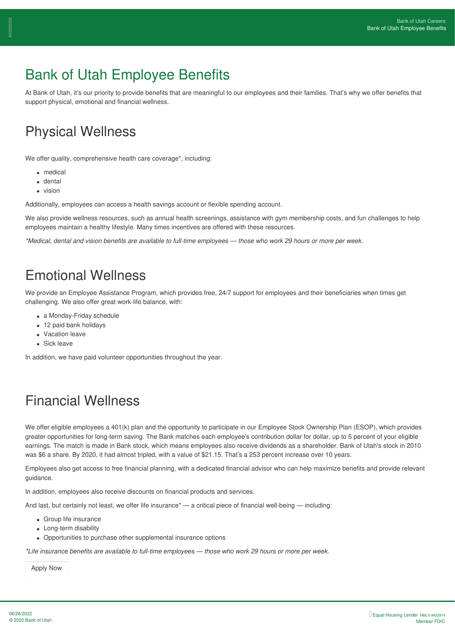## Bank of Utah Employee Benefits

At Bank of Utah, it's our priority to provide benefits that are meaningful to our employees and their families. That's why we offer benefits that support physical, emotional and financial wellness.

## Physical Wellness

We offer quality, comprehensive health care coverage\*, including:

- medical
- dental
- vision

Additionally, employees can access a health savings account or flexible spending account.

We also provide wellness resources, such as annual health screenings, assistance with gym membership costs, and fun challenges to help employees maintain a healthy lifestyle. Many times incentives are offered with these resources.

\*Medical, dental and vision benefits are available to full-time employees — those who work 29 hours or more per week.

## Emotional Wellness

We provide an Employee Assistance Program, which provides free, 24/7 support for employees and their beneficiaries when times get challenging. We also offer great work-life balance, with:

- a Monday-Friday schedule
- 12 paid bank holidays
- Vacation leave
- Sick leave

In addition, we have paid volunteer opportunities throughout the year.

## Financial Wellness

We offer eligible employees a 401(k) plan and the opportunity to participate in our Employee Stock Ownership Plan (ESOP), which provides greater opportunities for long-term saving. The Bank matches each employee's contribution dollar for dollar, up to 5 percent of your eligible earnings. The match is made in Bank stock, which means employees also receive dividends as a shareholder. Bank of Utah's stock in 2010 was \$6 a share. By 2020, it had almost tripled, with a value of \$21.15. That's a 253 percent increase over 10 years.

Employees also get access to free financial planning, with a dedicated financial advisor who can help maximize benefits and provide relevant guidance.

In addition, employees also receive discounts on financial products and services.

And last, but certainly not least, we offer life insurance<sup>\*</sup> — a critical piece of financial well-being — including:

- Group life insurance
- Long-term disability
- Opportunities to purchase other supplemental insurance options

\*Life insurance benefits are available to full-time employees — those who work 29 hours or more per week.

Apply Now